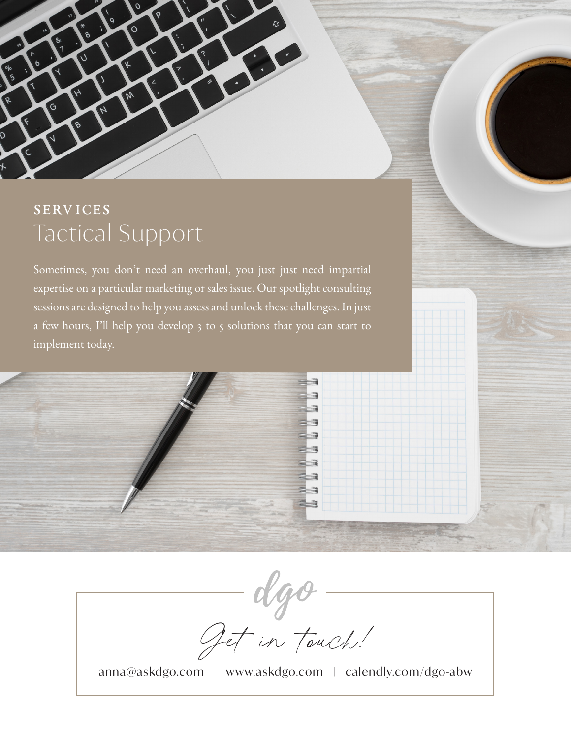

# **SERVICES** Tactical Support

Sometimes, you don't need an overhaul, you just just need impartial expertise on a particular marketing or sales issue. Our spotlight consulting sessions are designed to help you assess and unlock these challenges. In just a few hours, I'll help you develop 3 to 5 solutions that you can start to implement today.



Get in touch!

anna@askdgo.com | [www.askdgo.com](https://www.askdgo.com/) | [calendly.com/dgo-abw](http://calendly.com/dgo-abw)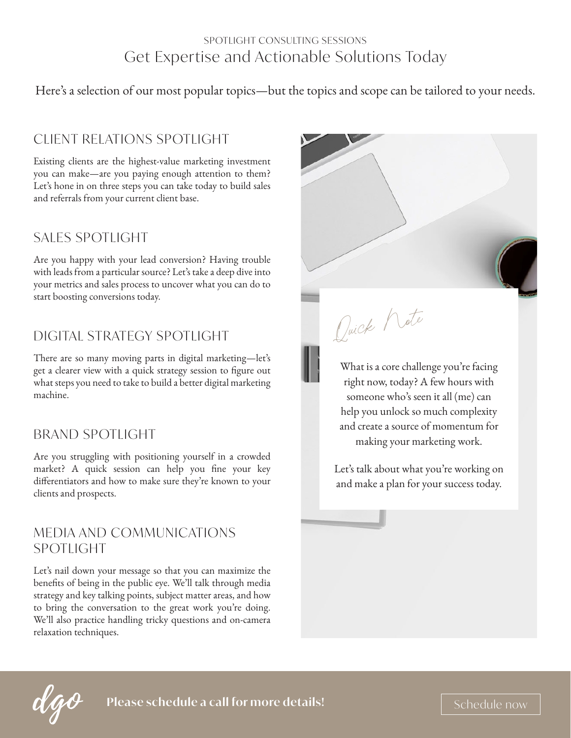#### SPOTLIGHT CONSULTING SESSIONS Get Expertise and Actionable Solutions Today

Here's a selection of our most popular topics—but the topics and scope can be tailored to your needs.

# CLIENT RELATIONS SPOTLIGHT

Existing clients are the highest-value marketing investment you can make—are you paying enough attention to them? Let's hone in on three steps you can take today to build sales and referrals from your current client base.

### SALES SPOTLIGHT

Are you happy with your lead conversion? Having trouble with leads from a particular source? Let's take a deep dive into your metrics and sales process to uncover what you can do to start boosting conversions today.

# DIGITAL STRATEGY SPOTLIGHT

There are so many moving parts in digital marketing—let's get a clearer view with a quick strategy session to figure out what steps you need to take to build a better digital marketing machine.

# BRAND SPOTLIGHT

Are you struggling with positioning yourself in a crowded market? A quick session can help you fine your key differentiators and how to make sure they're known to your clients and prospects.

#### MEDIA AND COMMUNICATIONS SPOTLIGHT

Let's nail down your message so that you can maximize the benefits of being in the public eye. We'll talk through media strategy and key talking points, subject matter areas, and how to bring the conversation to the great work you're doing. We'll also practice handling tricky questions and on-camera relaxation techniques.